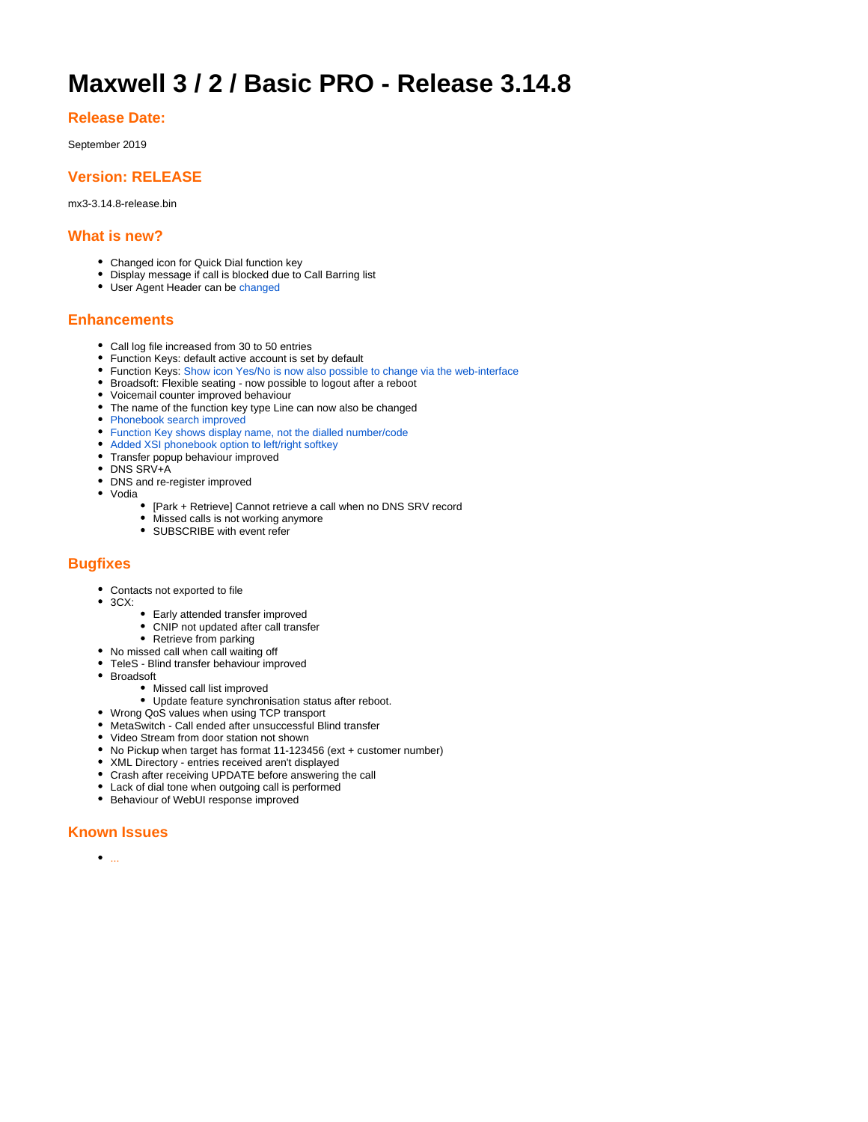# **Maxwell 3 / 2 / Basic PRO - Release 3.14.8**

## **Release Date:**

September 2019

# **Version: RELEASE**

mx3-3.14.8-release.bin

#### **What is new?**

- Changed icon for Quick Dial function key
- Display message if call is blocked due to Call Barring list
- User Agent Header can be [changed](https://teamwork.gigaset.com/gigawiki/pages/viewpage.action?pageId=930971997)

# **Enhancements**

- Call log file increased from 30 to 50 entries
- Function Keys: default active account is set by default
- Function Keys: [Show icon Yes/No is now also possible to change via the web-interface](https://teamwork.gigaset.com/gigawiki/display/GPPPO/FAQ+Maxwell+-+Function+keys)
- Broadsoft: Flexible seating now possible to logout after a reboot
- Voicemail counter improved behaviour
- The name of the function key type Line can now also be changed
- [Phonebook search improved](https://teamwork.gigaset.com/gigawiki/display/GPPPO/FAQ+Maxwell+-+Local+Phonebook)
- [Function Key shows display name, not the dialled number/code](https://teamwork.gigaset.com/gigawiki/display/GPPPO/FAQ+Maxwell+-+Function+keys)
- [Added XSI phonebook option to left/right softkey](https://teamwork.gigaset.com/gigawiki/display/GPPPO/FAQ+Maxwell+-+Soft-keys)
- Transfer popup behaviour improved
- DNS SRV+A
- DNS and re-register improved
- Vodia
	- [Park + Retrieve] Cannot retrieve a call when no DNS SRV record
	- Missed calls is not working anymore SUBSCRIBE with event refer

## **Bugfixes**

- Contacts not exported to file
- 3CX:
	- Early attended transfer improved
	- CNIP not updated after call transfer
	- Retrieve from parking
- No missed call when call waiting off
- TeleS Blind transfer behaviour improved
- Broadsoft
	- Missed call list improved
	- Update feature synchronisation status after reboot.
- Wrong QoS values when using TCP transport
- MetaSwitch Call ended after unsuccessful Blind transfer
- Video Stream from door station not shown
- No Pickup when target has format 11-123456 (ext + customer number)
- XML Directory entries received aren't displayed
- Crash after receiving UPDATE before answering the call
- Lack of dial tone when outgoing call is performed
- Behaviour of WebUI response improved

### **Known Issues**

 $\bullet$  ...